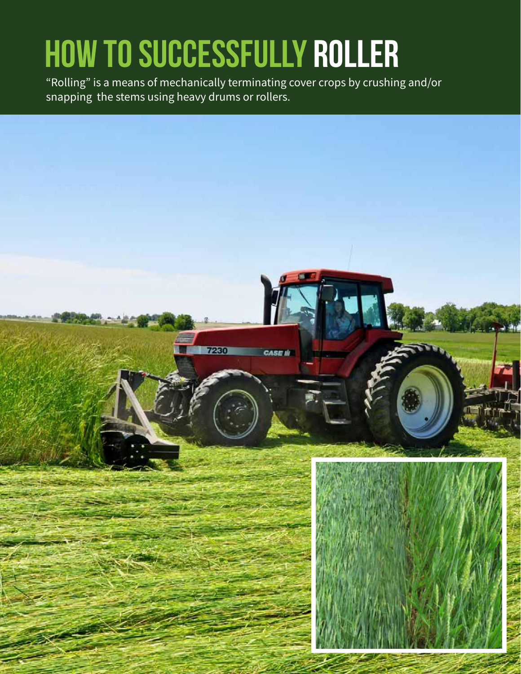## **HOW TO SUCCESSFULLY ROLLER**

"Rolling" is a means of mechanically terminating cover crops by crushing and/or snapping the stems using heavy drums or rollers.

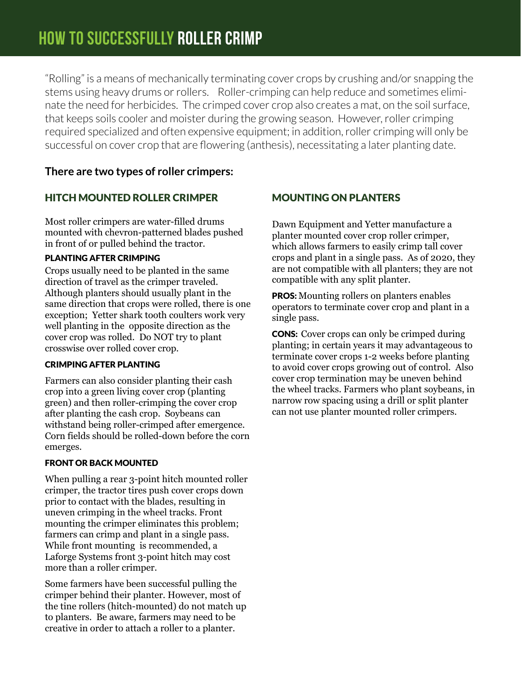"Rolling" is a means of mechanically terminating cover crops by crushing and/or snapping the stems using heavy drums or rollers. Roller-crimping can help reduce and sometimes eliminate the need for herbicides. The crimped cover crop also creates a mat, on the soil surface, that keeps soils cooler and moister during the growing season. However, roller crimping required specialized and often expensive equipment; in addition, roller crimping will only be successful on cover crop that are flowering (anthesis), necessitating a later planting date.

### **There are two types of roller crimpers:**

### HitcH Mounted RolleR cRiMpeR

Most roller crimpers are water-filled drums mounted with chevron-patterned blades pushed in front of or pulled behind the tractor.

#### planting afteR cRiMping

Crops usually need to be planted in the same direction of travel as the crimper traveled. Although planters should usually plant in the same direction that crops were rolled, there is one exception; Yetter shark tooth coulters work very well planting in the opposite direction as the cover crop was rolled. Do NOT try to plant crosswise over rolled cover crop.

#### cRiMping afteR planting

Farmers can also consider planting their cash crop into a green living cover crop (planting green) and then roller-crimping the cover crop after planting the cash crop. Soybeans can withstand being roller-crimped after emergence. Corn fields should be rolled-down before the corn emerges.

#### fRont oR Back Mounted

When pulling a rear 3-point hitch mounted roller crimper, the tractor tires push cover crops down prior to contact with the blades, resulting in uneven crimping in the wheel tracks. Front mounting the crimper eliminates this problem; farmers can crimp and plant in a single pass. While front mounting is recommended, a Laforge Systems front 3-point hitch may cost more than a roller crimper.

Some farmers have been successful pulling the crimper behind their planter. However, most of the tine rollers (hitch-mounted) do not match up to planters. Be aware, farmers may need to be creative in order to attach a roller to a planter.

### Mounting on planteRs

Dawn Equipment and Yetter manufacture a planter mounted cover crop roller crimper, which allows farmers to easily crimp tall cover crops and plant in a single pass. As of 2020, they are not compatible with all planters; they are not compatible with any split planter.

**PROS:** Mounting rollers on planters enables operators to terminate cover crop and plant in a single pass.

**CONS:** Cover crops can only be crimped during planting; in certain years it may advantageous to terminate cover crops 1-2 weeks before planting to avoid cover crops growing out of control. Also cover crop termination may be uneven behind the wheel tracks. Farmers who plant soybeans, in narrow row spacing using a drill or split planter can not use planter mounted roller crimpers.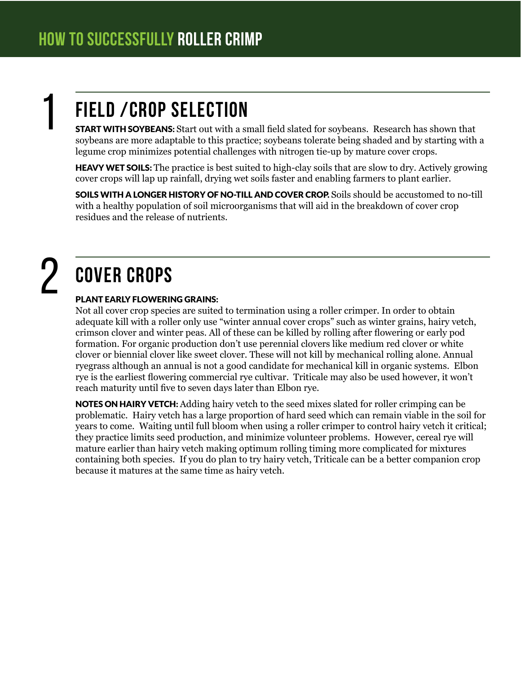## **Field /crop Selection**

**START WITH SOYBEANS:** Start out with a small field slated for soybeans. Research has shown that soybeans are more adaptable to this practice; soybeans tolerate being shaded and by starting with a legume crop minimizes potential challenges with nitrogen tie-up by mature cover crops.

**HEAVY WET SOILS:** The practice is best suited to high-clay soils that are slow to dry. Actively growing cover crops will lap up rainfall, drying wet soils faster and enabling farmers to plant earlier.

SOILS WITH A LONGER HISTORY OF NO-TILL AND COVER CROP. Soils should be accustomed to no-till with a healthy population of soil microorganisms that will aid in the breakdown of cover crop residues and the release of nutrients.

# 2

1

## **Cover Crops**

#### Plant early flowering grains:

Not all cover crop species are suited to termination using a roller crimper. In order to obtain adequate kill with a roller only use "winter annual cover crops" such as winter grains, hairy vetch, crimson clover and winter peas. All of these can be killed by rolling after flowering or early pod formation. For organic production don't use perennial clovers like medium red clover or white clover or biennial clover like sweet clover. These will not kill by mechanical rolling alone. Annual ryegrass although an annual is not a good candidate for mechanical kill in organic systems. Elbon rye is the earliest flowering commercial rye cultivar. Triticale may also be used however, it won't reach maturity until five to seven days later than Elbon rye.

NOTES ON HAIRY VETCH: Adding hairy vetch to the seed mixes slated for roller crimping can be problematic. Hairy vetch has a large proportion of hard seed which can remain viable in the soil for years to come. Waiting until full bloom when using a roller crimper to control hairy vetch it critical; they practice limits seed production, and minimize volunteer problems. However, cereal rye will mature earlier than hairy vetch making optimum rolling timing more complicated for mixtures containing both species. If you do plan to try hairy vetch, Triticale can be a better companion crop because it matures at the same time as hairy vetch.